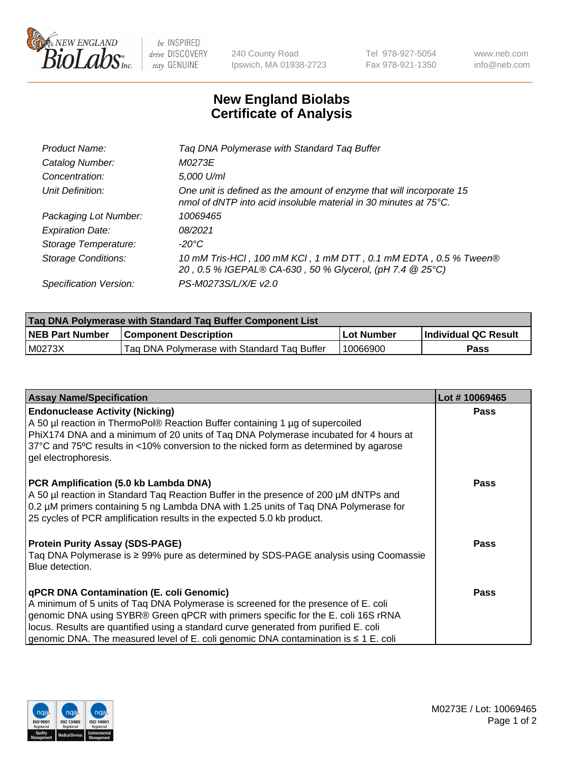

 $be$  INSPIRED drive DISCOVERY stay GENUINE

240 County Road Ipswich, MA 01938-2723 Tel 978-927-5054 Fax 978-921-1350 www.neb.com info@neb.com

## **New England Biolabs Certificate of Analysis**

| Product Name:              | Tag DNA Polymerase with Standard Tag Buffer                                                                                              |
|----------------------------|------------------------------------------------------------------------------------------------------------------------------------------|
| Catalog Number:            | M0273E                                                                                                                                   |
| Concentration:             | 5,000 U/ml                                                                                                                               |
| Unit Definition:           | One unit is defined as the amount of enzyme that will incorporate 15<br>nmol of dNTP into acid insoluble material in 30 minutes at 75°C. |
| Packaging Lot Number:      | 10069465                                                                                                                                 |
| <b>Expiration Date:</b>    | 08/2021                                                                                                                                  |
| Storage Temperature:       | $-20^{\circ}$ C                                                                                                                          |
| <b>Storage Conditions:</b> | 10 mM Tris-HCl, 100 mM KCl, 1 mM DTT, 0.1 mM EDTA, 0.5 % Tween®<br>20, 0.5 % IGEPAL® CA-630, 50 % Glycerol, (pH 7.4 @ 25°C)              |
| Specification Version:     | PS-M0273S/L/X/E v2.0                                                                                                                     |

| Tag DNA Polymerase with Standard Tag Buffer Component List |                                             |              |                      |  |
|------------------------------------------------------------|---------------------------------------------|--------------|----------------------|--|
| <b>NEB Part Number</b>                                     | <b>Component Description</b>                | l Lot Number | Individual QC Result |  |
| M0273X                                                     | Tag DNA Polymerase with Standard Tag Buffer | 10066900     | Pass                 |  |

| <b>Assay Name/Specification</b>                                                                                                                                                                                                                                                                                                                                                                         | Lot #10069465 |
|---------------------------------------------------------------------------------------------------------------------------------------------------------------------------------------------------------------------------------------------------------------------------------------------------------------------------------------------------------------------------------------------------------|---------------|
| <b>Endonuclease Activity (Nicking)</b><br>A 50 µl reaction in ThermoPol® Reaction Buffer containing 1 µg of supercoiled<br>PhiX174 DNA and a minimum of 20 units of Tag DNA Polymerase incubated for 4 hours at<br>37°C and 75°C results in <10% conversion to the nicked form as determined by agarose<br>gel electrophoresis.                                                                         | <b>Pass</b>   |
| PCR Amplification (5.0 kb Lambda DNA)<br>A 50 µl reaction in Standard Taq Reaction Buffer in the presence of 200 µM dNTPs and<br>0.2 µM primers containing 5 ng Lambda DNA with 1.25 units of Tag DNA Polymerase for<br>25 cycles of PCR amplification results in the expected 5.0 kb product.                                                                                                          | <b>Pass</b>   |
| <b>Protein Purity Assay (SDS-PAGE)</b><br>Taq DNA Polymerase is ≥ 99% pure as determined by SDS-PAGE analysis using Coomassie<br>Blue detection.                                                                                                                                                                                                                                                        | <b>Pass</b>   |
| qPCR DNA Contamination (E. coli Genomic)<br>A minimum of 5 units of Taq DNA Polymerase is screened for the presence of E. coli<br>genomic DNA using SYBR® Green qPCR with primers specific for the E. coli 16S rRNA<br>locus. Results are quantified using a standard curve generated from purified E. coli<br>genomic DNA. The measured level of E. coli genomic DNA contamination is $\leq 1$ E. coli | <b>Pass</b>   |